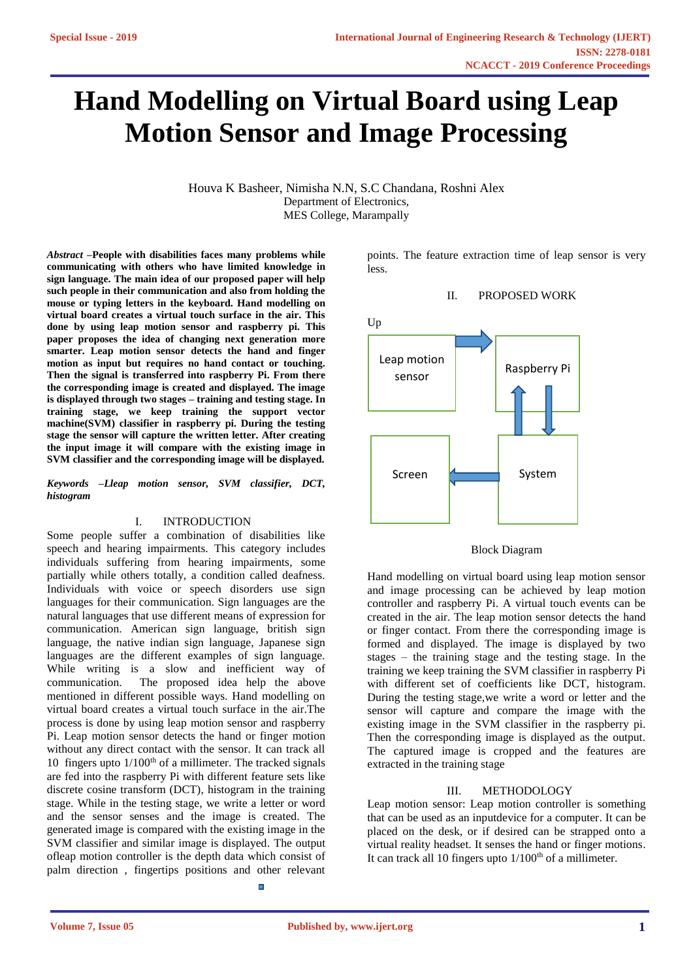# **Hand Modelling on Virtual Board using Leap Motion Sensor and Image Processing**

Houva K Basheer, Nimisha N.N, S.C Chandana, Roshni Alex Department of Electronics, MES College, Marampally

*Abstract* **–People with disabilities faces many problems while communicating with others who have limited knowledge in sign language. The main idea of our proposed paper will help such people in their communication and also from holding the mouse or typing letters in the keyboard. Hand modelling on virtual board creates a virtual touch surface in the air. This done by using leap motion sensor and raspberry pi. This paper proposes the idea of changing next generation more smarter. Leap motion sensor detects the hand and finger motion as input but requires no hand contact or touching. Then the signal is transferred into raspberry Pi. From there the corresponding image is created and displayed. The image is displayed through two stages – training and testing stage. In training stage, we keep training the support vector machine(SVM) classifier in raspberry pi. During the testing stage the sensor will capture the written letter. After creating the input image it will compare with the existing image in SVM classifier and the corresponding image will be displayed.**

*Keywords –Lleap motion sensor, SVM classifier, DCT, histogram*

#### I. INTRODUCTION

Some people suffer a combination of disabilities like speech and hearing impairments. This category includes individuals suffering from hearing impairments, some partially while others totally, a condition called deafness. Individuals with voice or speech disorders use sign languages for their communication. Sign languages are the natural languages that use different means of expression for communication. American sign language, british sign language, the native indian sign language, Japanese sign languages are the different examples of sign language. While writing is a slow and inefficient way of communication. The proposed idea help the above mentioned in different possible ways. Hand modelling on virtual board creates a virtual touch surface in the air.The process is done by using leap motion sensor and raspberry Pi. Leap motion sensor detects the hand or finger motion without any direct contact with the sensor. It can track all 10 fingers upto 1/100<sup>th</sup> of a millimeter. The tracked signals are fed into the raspberry Pi with different feature sets like discrete cosine transform (DCT), histogram in the training stage. While in the testing stage, we write a letter or word and the sensor senses and the image is created. The generated image is compared with the existing image in the SVM classifier and similar image is displayed. The output ofleap motion controller is the depth data which consist of palm direction , fingertips positions and other relevant

points. The feature extraction time of leap sensor is very less.

#### II. PROPOSED WORK



Block Diagram

Hand modelling on virtual board using leap motion sensor and image processing can be achieved by leap motion controller and raspberry Pi. A virtual touch events can be created in the air. The leap motion sensor detects the hand or finger contact. From there the corresponding image is formed and displayed. The image is displayed by two stages – the training stage and the testing stage. In the training we keep training the SVM classifier in raspberry Pi with different set of coefficients like DCT, histogram. During the testing stage,we write a word or letter and the sensor will capture and compare the image with the existing image in the SVM classifier in the raspberry pi. Then the corresponding image is displayed as the output. The captured image is cropped and the features are extracted in the training stage

#### III. METHODOLOGY

Leap motion sensor: Leap motion controller is something that can be used as an inputdevice for a computer. It can be placed on the desk, or if desired can be strapped onto a virtual reality headset. It senses the hand or finger motions. It can track all 10 fingers upto  $1/100<sup>th</sup>$  of a millimeter.